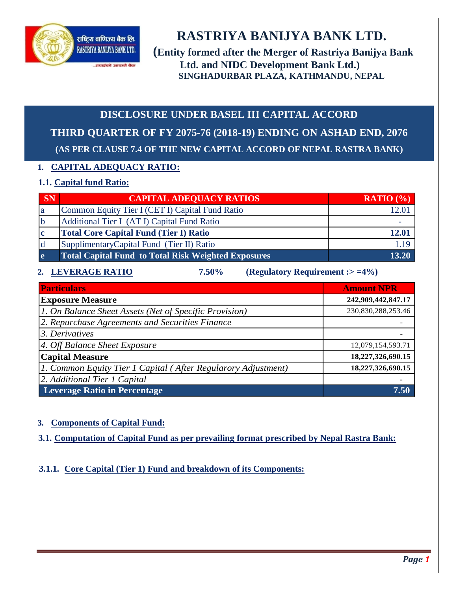

# **RASTRIYA BANIJYA BANK LTD.**

**(Entity formed after the Merger of Rastriya Banijya Bank Ltd. and NIDC Development Bank Ltd.) SINGHADURBAR PLAZA, KATHMANDU, NEPAL**

## **DISCLOSURE UNDER BASEL III CAPITAL ACCORD**

**THIRD QUARTER OF FY 2075-76 (2018-19) ENDING ON ASHAD END, 2076 (AS PER CLAUSE 7.4 OF THE NEW CAPITAL ACCORD OF NEPAL RASTRA BANK)**

## **1. CAPITAL ADEQUACY RATIO:**

...<br>तपाईको आफ़ब्रै बैक

## **1.1. Capital fund Ratio:**

| <b>SN</b>    | <b>CAPITAL ADEQUACY RATIOS</b>                             | <b>RATIO</b> $(\% )$ |
|--------------|------------------------------------------------------------|----------------------|
| 1a           | Common Equity Tier I (CET I) Capital Fund Ratio            |                      |
|              | Additional Tier I (AT I) Capital Fund Ratio                |                      |
| c            | <b>Total Core Capital Fund (Tier I) Ratio</b>              | 12.01                |
| Id           | Supplimentary Capital Fund (Tier II) Ratio                 | l.19                 |
| <sub>e</sub> | <b>Total Capital Fund to Total Risk Weighted Exposures</b> | 13.20                |

## **2. LEVERAGE RATIO 7.50% (Regulatory Requirement :> =4%)**

| <b>Particulars</b>                                            | <b>Amount NPR</b>  |
|---------------------------------------------------------------|--------------------|
| <b>Exposure Measure</b>                                       | 242,909,442,847.17 |
| 1. On Balance Sheet Assets (Net of Specific Provision)        | 230,830,288,253.46 |
| 2. Repurchase Agreements and Securities Finance               |                    |
| 3. Derivatives                                                |                    |
| 4. Off Balance Sheet Exposure                                 | 12,079,154,593.71  |
| <b>Capital Measure</b>                                        | 18,227,326,690.15  |
| 1. Common Equity Tier 1 Capital (After Regularory Adjustment) | 18,227,326,690.15  |
| 2. Additional Tier 1 Capital                                  |                    |
| <b>Leverage Ratio in Percentage</b>                           | 7.50               |

## **3. Components of Capital Fund:**

**3.1. Computation of Capital Fund as per prevailing format prescribed by Nepal Rastra Bank:**

## **3.1.1. Core Capital (Tier 1) Fund and breakdown of its Components:**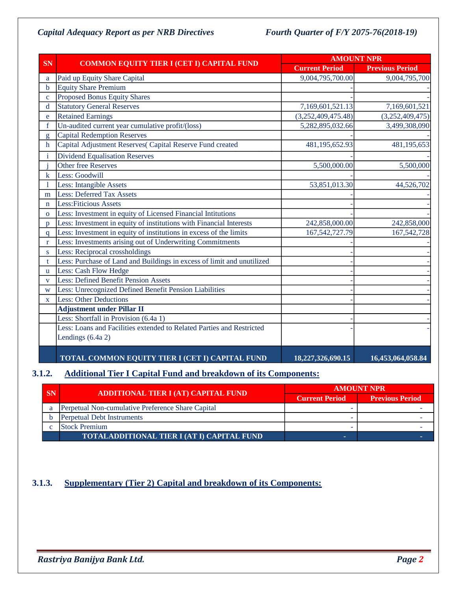|                         |                                                                        |                       | <b>AMOUNT NPR</b>      |  |  |  |
|-------------------------|------------------------------------------------------------------------|-----------------------|------------------------|--|--|--|
| <b>SN</b>               | <b>COMMON EQUITY TIER I (CET I) CAPITAL FUND</b>                       | <b>Current Period</b> | <b>Previous Period</b> |  |  |  |
| a                       | Paid up Equity Share Capital                                           | 9,004,795,700.00      | 9,004,795,700          |  |  |  |
| b                       | <b>Equity Share Premium</b>                                            |                       |                        |  |  |  |
| $\mathbf{c}$            | <b>Proposed Bonus Equity Shares</b>                                    |                       |                        |  |  |  |
| d                       | <b>Statutory General Reserves</b>                                      | 7,169,601,521.13      | 7,169,601,521          |  |  |  |
| e                       | <b>Retained Earnings</b>                                               | (3,252,409,475.48)    | (3,252,409,475)        |  |  |  |
| $f_{\rm}$               | Un-audited current year cumulative profit/(loss)                       | 5,282,895,032.66      | 3,499,308,090          |  |  |  |
| g                       | <b>Capital Redemption Reserves</b>                                     |                       |                        |  |  |  |
| $\mathbf h$             | Capital Adjustment Reserves(Capital Reserve Fund created               | 481,195,652.93        | 481,195,653            |  |  |  |
| i                       | <b>Dividend Equalisation Reserves</b>                                  |                       |                        |  |  |  |
|                         | <b>Other free Reserves</b>                                             | 5,500,000.00          | 5,500,000              |  |  |  |
| k                       | Less: Goodwill                                                         |                       |                        |  |  |  |
|                         | Less: Intangible Assets                                                | 53,851,013.30         | 44,526,702             |  |  |  |
| m                       | <b>Less: Deferred Tax Assets</b>                                       |                       |                        |  |  |  |
| $\mathbf n$             | <b>Less: Fiticious Assets</b>                                          |                       |                        |  |  |  |
| $\overline{O}$          | Less: Investment in equity of Licensed Financial Intitutions           |                       |                        |  |  |  |
| D                       | Less: Investment in equity of institutions with Financial Interests    | 242,858,000.00        | 242,858,000            |  |  |  |
| a                       | Less: Investment in equity of institutions in excess of the limits     | 167, 542, 727. 79     | 167,542,728            |  |  |  |
| $\mathbf{r}$            | Less: Investments arising out of Underwriting Commitments              |                       |                        |  |  |  |
| S.                      | Less: Reciprocal crossholdings                                         |                       |                        |  |  |  |
| t                       | Less: Purchase of Land and Buildings in excess of limit and unutilized |                       |                        |  |  |  |
| u                       | Less: Cash Flow Hedge                                                  |                       |                        |  |  |  |
| $\overline{\mathbf{V}}$ | <b>Less: Defined Benefit Pension Assets</b>                            |                       |                        |  |  |  |
| W                       | Less: Unrecognized Defined Benefit Pension Liabilities                 |                       |                        |  |  |  |
| $\mathbf{X}$            | <b>Less: Other Deductions</b>                                          |                       |                        |  |  |  |
|                         | <b>Adjustment under Pillar II</b>                                      |                       |                        |  |  |  |
|                         | Less: Shortfall in Provision (6.4a 1)                                  |                       |                        |  |  |  |
|                         | Less: Loans and Facilities extended to Related Parties and Restricted  |                       |                        |  |  |  |
|                         | Lendings (6.4a 2)                                                      |                       |                        |  |  |  |
|                         | TOTAL COMMON EQUITY TIER I (CET I) CAPITAL FUND                        | 18,227,326,690.15     | 16,453,064,058.84      |  |  |  |

## **3.1.2. Additional Tier I Capital Fund and breakdown of its Components:**

| SN | ADDITIONAL TIER I (AT) CAPITAL FUND                  | <b>AMOUNT NPR</b><br><b>Previous Period</b><br><b>Current Period</b> |  |
|----|------------------------------------------------------|----------------------------------------------------------------------|--|
|    |                                                      |                                                                      |  |
| а  | Perpetual Non-cumulative Preference Share Capital    |                                                                      |  |
|    | <b>Perpetual Debt Instruments</b>                    |                                                                      |  |
|    | <b>Stock Premium</b>                                 |                                                                      |  |
|    | <u>'TOTALADDITIONAL TIER I (AT I) CAPITAL FUND p</u> |                                                                      |  |

## **3.1.3. Supplementary (Tier 2) Capital and breakdown of its Components:**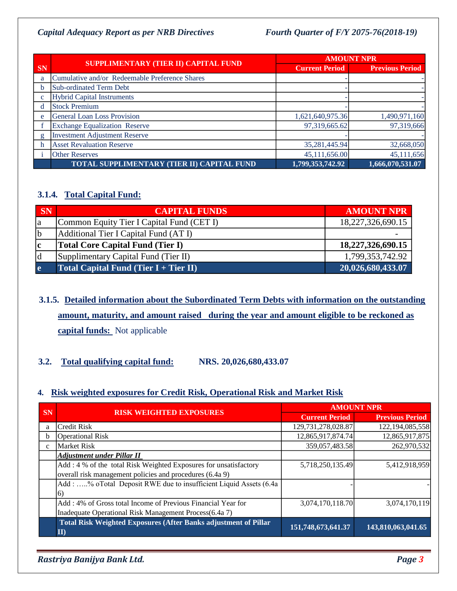|           |                                                   |                       | <b>AMOUNT NPR</b>      |
|-----------|---------------------------------------------------|-----------------------|------------------------|
| <b>SN</b> | SUPPLIMENTARY (TIER II) CAPITAL FUND              | <b>Current Period</b> | <b>Previous Period</b> |
| a         | Cumulative and/or Redeemable Preference Shares    |                       |                        |
|           | Sub-ordinated Term Debt                           |                       |                        |
|           | <b>Hybrid Capital Instruments</b>                 |                       |                        |
|           | <b>Stock Premium</b>                              |                       |                        |
| e         | <b>General Loan Loss Provision</b>                | 1,621,640,975.36      | 1,490,971,160          |
|           | <b>Exchange Equalization Reserve</b>              | 97,319,665.62         | 97,319,666             |
| g         | <b>Investment Adjustment Reserve</b>              |                       |                        |
|           | <b>Asset Revaluation Reserve</b>                  | 35,281,445.94         | 32,668,050             |
|           | <b>Other Reserves</b>                             | 45,111,656.00         | 45,111,656             |
|           | <b>TOTAL SUPPLIMENTARY (TIER II) CAPITAL FUND</b> | 1,799,353,742.92      | 1,666,070,531.07       |

## **3.1.4. Total Capital Fund:**

| SN         | <b>CAPITAL FUNDS</b>                      | <b>AMOUNT NPR</b> |
|------------|-------------------------------------------|-------------------|
| la         | Common Equity Tier I Capital Fund (CET I) | 18,227,326,690.15 |
| b          | Additional Tier I Capital Fund (AT I)     |                   |
| c          | <b>Total Core Capital Fund (Tier I)</b>   | 18,227,326,690.15 |
| Id         | Supplimentary Capital Fund (Tier II)      | 1,799,353,742.92  |
| <b>l</b> e | Total Capital Fund (Tier $I + Tier II$ )  | 20,026,680,433.07 |

**3.1.5. Detailed information about the Subordinated Term Debts with information on the outstanding amount, maturity, and amount raised during the year and amount eligible to be reckoned as capital funds:** Not applicable

## **3.2. Total qualifying capital fund: NRS. 20,026,680,433.07**

### **4. Risk weighted exposures for Credit Risk, Operational Risk and Market Risk**

|              |                                                                                      | <b>AMOUNT NPR</b>     |                        |  |
|--------------|--------------------------------------------------------------------------------------|-----------------------|------------------------|--|
| <b>SN</b>    | <b>RISK WEIGHTED EXPOSURES</b>                                                       | <b>Current Period</b> | <b>Previous Period</b> |  |
| a            | <b>Credit Risk</b>                                                                   | 129,731,278,028.87    | 122,194,085,558        |  |
| b            | <b>Operational Risk</b>                                                              | 12,865,917,874.74     | 12,865,917,875         |  |
| $\mathbf{c}$ | <b>Market Risk</b>                                                                   | 359,057,483.58        | 262,970,532            |  |
|              | <b>Adjustment under Pillar II</b>                                                    |                       |                        |  |
|              | Add: 4 % of the total Risk Weighted Exposures for unsatisfactory                     | 5,718,250,135.49      | 5,412,918,959          |  |
|              | overall risk management policies and procedures (6.4a 9)                             |                       |                        |  |
|              | Add: % oTotal Deposit RWE due to insufficient Liquid Assets (6.4a                    |                       |                        |  |
|              |                                                                                      |                       |                        |  |
|              | Add: 4% of Gross total Income of Previous Financial Year for                         | 3,074,170,118.70      | 3,074,170,119          |  |
|              | Inadequate Operational Risk Management Process(6.4a 7)                               |                       |                        |  |
|              | <b>Total Risk Weighted Exposures (After Banks adjustment of Pillar</b><br>$\bf{II})$ | 151,748,673,641.37    | 143,810,063,041.65     |  |

*Rastriya Banijya Bank Ltd. Page 3*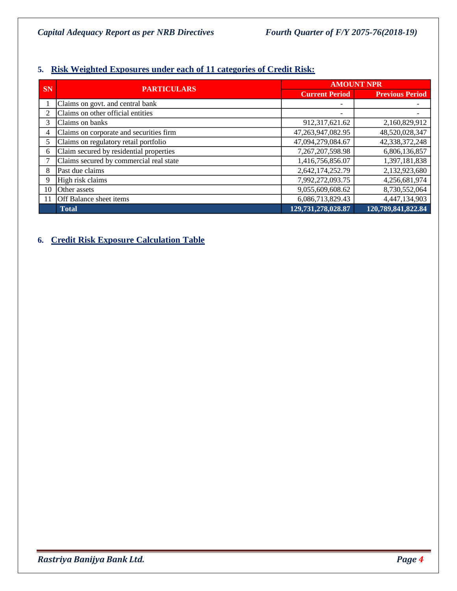## **5. Risk Weighted Exposures under each of 11 categories of Credit Risk:**

|               | <b>PARTICULARS</b>                      | <b>AMOUNT NPR</b>     |                        |  |
|---------------|-----------------------------------------|-----------------------|------------------------|--|
| <b>SN</b>     |                                         | <b>Current Period</b> | <b>Previous Period</b> |  |
|               | Claims on govt. and central bank        |                       |                        |  |
| $\mathcal{L}$ | Claims on other official entities       |                       |                        |  |
| 3             | Claims on banks                         | 912,317,621.62        | 2,160,829,912          |  |
| 4             | Claims on corporate and securities firm | 47, 263, 947, 082. 95 | 48,520,028,347         |  |
| 5             | Claims on regulatory retail portfolio   | 47,094,279,084.67     | 42,338,372,248         |  |
| 6             | Claim secured by residential properties | 7,267,207,598.98      | 6,806,136,857          |  |
|               | Claims secured by commercial real state | 1,416,756,856.07      | 1,397,181,838          |  |
| 8             | Past due claims                         | 2,642,174,252.79      | 2,132,923,680          |  |
| 9             | High risk claims                        | 7,992,272,093.75      | 4,256,681,974          |  |
| 10            | Other assets                            | 9,055,609,608.62      | 8,730,552,064          |  |
|               | Off Balance sheet items                 | 6,086,713,829.43      | 4,447,134,903          |  |
|               | <b>Total</b>                            | 129,731,278,028.87    | 120,789,841,822.84     |  |

## **6. Credit Risk Exposure Calculation Table**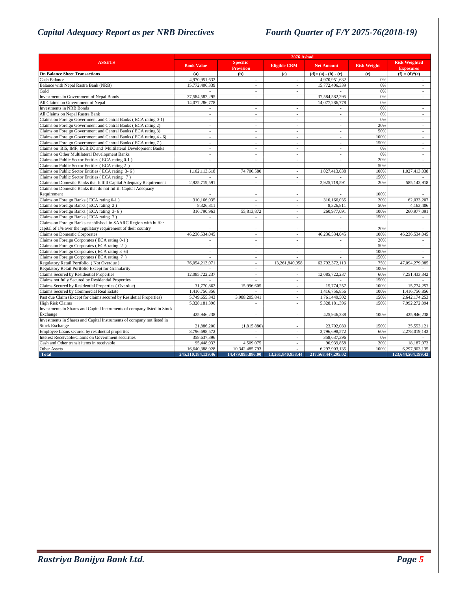|                                                                                    | <b>2076 Ashad</b>  |                                     |                          |                          |                    |                                          |
|------------------------------------------------------------------------------------|--------------------|-------------------------------------|--------------------------|--------------------------|--------------------|------------------------------------------|
| <b>ASSETS</b>                                                                      | <b>Book Value</b>  | <b>Specific</b><br><b>Provision</b> | <b>Eligible CRM</b>      | <b>Net Amount</b>        | <b>Risk Weight</b> | <b>Risk Weighted</b><br><b>Exposures</b> |
| <b>On Balance Sheet Transactions</b>                                               | (a)                | (b)                                 | (c)                      | $(d)=(a)-(b)-(c)$        | (e)                | $(f) = (d) * (e)$                        |
| Cash Balance                                                                       | 4.970.951.632      | $\sim$                              | $\sim$                   | 4,970,951,632            | 0%                 | ÷.                                       |
| Balance with Nepal Rastra Bank (NRB)                                               | 15,772,406,339     | $\overline{a}$                      | $\sim$                   | 15,772,406,339           | 0%                 |                                          |
| Gold                                                                               |                    | $\sim$                              | $\sim$                   |                          | 0%                 | $\sim$                                   |
| Investments in Government of Nepal Bonds                                           | 37,584,582,295     | $\sim$                              | $\mathcal{L}$            | 37,584,582,295           | 0%                 | $\sim$                                   |
| All Claims on Government of Nepal                                                  | 14,077,286,778     | $\sim$                              | $\sim$                   | 14,077,286,778           | 0%                 | $\overline{\phantom{a}}$                 |
| <b>Investments in NRB Bonds</b>                                                    | $\sim$             | $\sim$                              | $\sim$                   | $\sim$                   | 0%                 | $\sim$                                   |
| All Claims on Nepal Rastra Bank                                                    | ÷                  |                                     |                          |                          | 0%                 |                                          |
| Claims on Foreign Government and Central Banks (ECA rating 0-1)                    | $\overline{a}$     | $\sim$                              | $\mathcal{L}$            | $\mathcal{L}$            | 0%                 | $\mathcal{L}$                            |
| Claims on Foreign Government and Central Banks (ECA rating 2)                      | $\sim$             | $\sim$                              | $\mathcal{L}$            | $\sim$                   | 20%                | $\mathcal{L}$                            |
| Claims on Foreign Government and Central Banks (ECA rating 3)                      | ÷,                 | $\overline{\phantom{a}}$            | $\overline{\phantom{a}}$ | $\overline{\phantom{a}}$ | 50%                | $\sim$                                   |
| Claims on Foreign Government and Central Banks (ECA rating 4 - 6)                  | $\sim$             | $\sim$                              | $\sim$                   | $\sim$                   | 100%               | $\sim$                                   |
| Claims on Foreign Government and Central Banks (ECA rating 7)                      | $\overline{a}$     | $\overline{\phantom{a}}$            | $\overline{\phantom{a}}$ | $\overline{a}$           | 150%               | $\overline{a}$                           |
| Claims on BIS, IMF, ECB,EC and Multilateral Development Banks                      | ÷,                 | $\overline{\phantom{a}}$            | ÷                        | $\sim$                   | 0%                 | $\overline{\phantom{a}}$                 |
| Claims on Other Multilateral Development Banks                                     | $\sim$             | $\sim$                              | $\sim$                   | $\sim$                   | 0%                 | $\sim$                                   |
| Claims on Public Sector Entities (ECA rating 0-1)                                  | ÷,                 | $\sim$                              | $\sim$                   | ÷                        | 20%                | $\sim$                                   |
| Claims on Public Sector Entities (ECA rating 2)                                    | $\sim$             | $\sim$                              | $\sim$                   | $\overline{a}$           | 50%                | $\sim$                                   |
| Claims on Public Sector Entities (ECA rating 3-6)                                  | 1,102,113,618      | 74,700,580                          | $\sim$                   | 1,027,413,038            | 100%               | 1,027,413,038                            |
| Claims on Public Sector Entities (ECA rating 7)                                    |                    |                                     | $\sim$                   |                          | 150%               |                                          |
| Claims on Domestic Banks that fulfill Capital Adequacy Requirement                 | 2,925,719,591      | $\sim$                              | $\overline{a}$           | 2,925,719,591            | 20%                | 585,143,918                              |
| Claims on Domestic Banks that do not fulfill Capital Adequacy                      |                    |                                     |                          |                          |                    |                                          |
| Requirement                                                                        |                    |                                     |                          |                          | 100%               |                                          |
| Claims on Foreign Banks (ECA rating 0-1)                                           | 310,166,035        | $\overline{a}$                      | $\sim$                   | 310,166,035              | 20%                | 62,033,207                               |
| Claims on Foreign Banks (ECA rating 2)                                             | 8,326,811          |                                     | $\overline{\phantom{a}}$ | 8,326,811                | 50%                | 4,163,406                                |
| Claims on Foreign Banks (ECA rating 3-6)                                           | 316,790,963        | 55,813,872                          | $\sim$                   | 260,977,091              | 100%               | 260,977,091                              |
| Claims on Foreign Banks (ECA rating 7)                                             | ÷,                 | $\sim$                              | $\overline{a}$           | $\sim$                   | 150%               |                                          |
| Claims on Foreign Banks established in SAARC Region with buffer                    |                    |                                     |                          |                          |                    |                                          |
| capital of 1% over the regulatory requirement of their country                     |                    |                                     |                          |                          | 20%                |                                          |
| Claims on Domestic Corporates                                                      | 46,236,534,045     | $\sim$                              | $\sim$                   | 46,236,534,045           | 100%               | 46,236,534,045                           |
| Claims on Foreign Corporates (ECA rating 0-1)                                      |                    | $\overline{a}$                      |                          |                          | 20%                |                                          |
| Claims on Foreign Corporates (ECA rating 2)                                        | $\overline{a}$     | $\sim$                              | $\sim$                   | $\sim$                   | 50%                | $\overline{a}$                           |
| Claims on Foreign Corporates (ECA rating 3 -6)                                     | ÷.                 | $\sim$                              | $\sim$                   | $\sim$                   | 100%               | $\sim$                                   |
| Claims on Foreign Corporates (ECA rating 7)                                        | ÷,                 | $\overline{\phantom{a}}$            | $\sim$                   |                          | 150%               |                                          |
| Regulatory Retail Portfolio (Not Overdue)                                          | 76,054,213,071     | $\sim$                              | 13,261,840,958           | 62,792,372,113           | 75%                | 47,094,279,085                           |
| Regulatory Retail Portfolio Except for Granularity                                 |                    |                                     |                          |                          | 100%               |                                          |
| Claims Secured by Residential Properties                                           | 12,085,722,237     | $\sim$                              | $\mathcal{L}$            | 12,085,722,237           | 60%                | 7,251,433,342                            |
| Claims not fully Secured by Residential Properties                                 |                    | ÷                                   | $\sim$                   |                          | 150%               |                                          |
| Claims Secured by Residential Properties (Overdue)                                 | 31,770,862         | 15,996,605                          | $\sim$                   | 15,774,257               | 100%               | 15,774,257                               |
| Claims Secured by Commercial Real Estate                                           | 1,416,756,856      |                                     | $\omega$                 | 1,416,756,856            | 100%               | 1,416,756,856                            |
| Past due Claim (Except for claims secured by Residetial Properties)                | 5,749,655,343      | 3,988,205,841                       | $\overline{\phantom{a}}$ | 1,761,449,502            | 150%               | 2,642,174,253                            |
| <b>High Risk Claims</b>                                                            | 5,328,181,396      | $\overline{\phantom{a}}$            |                          | 5,328,181,396            | 150%               | 7,992,272,094                            |
| Investments in Shares and Capital Instruments of company listed in Stock           |                    |                                     | $\sim$                   |                          |                    |                                          |
|                                                                                    |                    |                                     |                          |                          |                    |                                          |
| Exchange<br>Investments in Shares and Capital Instruments of company not listed in | 425,946,238        |                                     |                          | 425,946,238              | 100%               | 425,946,238                              |
|                                                                                    |                    |                                     |                          |                          |                    |                                          |
| <b>Stock Exchange</b><br>Employee Loans secured by residnetial properties          | 21,886,200         | (1,815,880)                         |                          | 23,702,080               | 150%               | 35,553,121                               |
|                                                                                    | 3,796,698,572      |                                     | $\sim$                   | 3.796.698.572            | 60%                | 2,278,019,143                            |
| Interest Receivable/Claims on Government securities                                | 358,637,396        |                                     | $\sim$                   | 358,637,396              | 0%                 |                                          |
| Cash and Other transit items in receivable                                         | 95,448,933         | 4,509,075                           | $\sim$                   | 90,939,858               | 20%                | 18,187,972                               |
| <b>Other Assets</b>                                                                | 16,640,388,928     | 10.342.485.793                      | $\sim$                   | 6,297,903,135            | 100%               | 6,297,903,135                            |
| <b>Total</b>                                                                       | 245,310,184,139.46 | 14,479,895,886.00                   | 13.261.840.958.44        | 217.568.447.295.02       |                    | 123,644,564,199.43                       |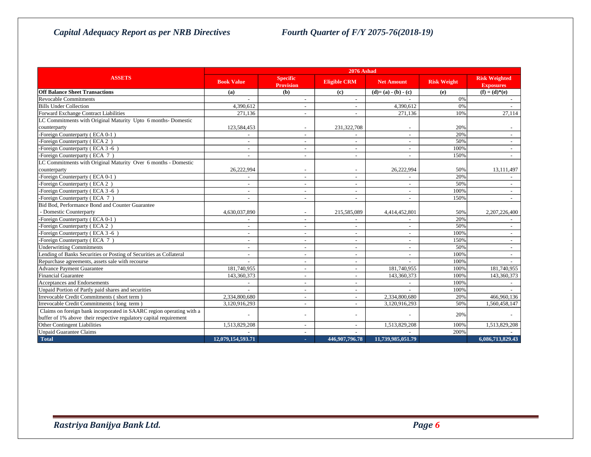|                                                                      | <b>2076 Ashad</b>        |                                     |                          |                   |                    |                                          |
|----------------------------------------------------------------------|--------------------------|-------------------------------------|--------------------------|-------------------|--------------------|------------------------------------------|
| <b>ASSETS</b>                                                        | <b>Book Value</b>        | <b>Specific</b><br><b>Provision</b> | <b>Eligible CRM</b>      | <b>Net Amount</b> | <b>Risk Weight</b> | <b>Risk Weighted</b><br><b>Exposures</b> |
| <b>Off Balance Sheet Transactions</b>                                | (a)                      | (b)                                 | (c)                      | $(d)=(a)-(b)-(c)$ | (e)                | $(f) = (d)*(e)$                          |
| Revocable Commitments                                                |                          | $\overline{a}$                      | $\sim$                   |                   | 0%                 | $\sim$                                   |
| <b>Bills Under Collection</b>                                        | 4.390.612                | $\overline{a}$                      | $\sim$                   | 4.390.612         | 0%                 |                                          |
| Forward Exchange Contract Liabilities                                | 271,136                  | $\overline{\phantom{a}}$            | $\sim$                   | 271,136           | 10%                | 27,114                                   |
| LC Commitments with Original Maturity Upto 6 months-Domestic         |                          |                                     |                          |                   |                    |                                          |
| counterparty                                                         | 123,584,453              | ÷,                                  | 231,322,708              |                   | 20%                |                                          |
| -Foreign Counterparty (ECA 0-1)                                      |                          |                                     |                          |                   | 20%                |                                          |
| -Foreign Counterparty (ECA 2)                                        | $\overline{\phantom{a}}$ | ÷                                   |                          |                   | 50%                |                                          |
| -Foreign Counterparty (ECA 3-6)                                      | $\overline{\phantom{a}}$ | $\overline{\phantom{a}}$            | $\sim$                   |                   | 100%               | $\sim$                                   |
| -Foreign Counterparty (ECA 7)                                        | $\overline{\phantom{a}}$ | ÷,                                  | $\sim$                   |                   | 150%               |                                          |
| LC Commitments with Original Maturity Over 6 months - Domestic       |                          |                                     |                          |                   |                    |                                          |
| counterparty                                                         | 26,222,994               |                                     |                          | 26,222,994        | 50%                | 13,111,497                               |
| -Foreign Counterparty (ECA 0-1)                                      |                          |                                     |                          |                   | 20%                |                                          |
| -Foreign Counterparty (ECA 2)                                        |                          |                                     |                          |                   | 50%                |                                          |
| -Foreign Counterparty (ECA 3-6)                                      |                          | ÷,                                  | $\overline{a}$           |                   | 100%               | $\sim$                                   |
| -Foreign Counterparty (ECA 7)                                        | $\overline{\phantom{a}}$ | $\overline{\phantom{a}}$            | $\sim$                   |                   | 150%               | $\sim$                                   |
| Bid Bod, Performance Bond and Counter Guarantee                      |                          |                                     |                          |                   |                    |                                          |
| - Domestic Counterparty                                              | 4,630,037,890            | $\tilde{\phantom{a}}$               | 215,585,089              | 4,414,452,801     | 50%                | 2,207,226,400                            |
| -Foreign Counterparty (ECA 0-1)                                      |                          |                                     |                          |                   | 20%                |                                          |
| -Foreign Counterparty (ECA 2)                                        | $\overline{\phantom{a}}$ | $\overline{\phantom{a}}$            |                          |                   | 50%                |                                          |
| -Foreign Counterparty (ECA 3-6)                                      | $\overline{\phantom{a}}$ | $\overline{a}$                      |                          |                   | 100%               |                                          |
| -Foreign Counterparty (ECA 7)                                        |                          | ÷,                                  |                          |                   | 150%               |                                          |
| <b>Underwritting Commitments</b>                                     |                          | L,                                  |                          |                   | 50%                |                                          |
| Lending of Banks Securities or Posting of Securities as Collateral   | $\overline{\phantom{a}}$ | ÷                                   | $\sim$                   |                   | 100%               | $\sim$                                   |
| Repurchase agreements, assets sale with recourse                     |                          | ÷,                                  | $\sim$                   |                   | 100%               |                                          |
| Advance Payment Guarantee                                            | 181,740,955              | ÷,                                  | $\overline{\phantom{a}}$ | 181,740,955       | 100%               | 181,740,955                              |
| Financial Guarantee                                                  | 143,360,373              | $\overline{\phantom{a}}$            | $\overline{\phantom{a}}$ | 143,360,373       | 100%               | 143,360,373                              |
| Acceptances and Endorsements                                         |                          | ÷                                   |                          |                   | 100%               |                                          |
| Unpaid Portion of Partly paid shares and securities                  |                          |                                     |                          |                   | 100%               |                                          |
| Irrevocable Credit Commitments (short term)                          | 2.334.800.680            | $\overline{\phantom{a}}$            | $\sim$                   | 2.334,800,680     | 20%                | 466,960,136                              |
| Irrevocable Credit Commitments (long term)                           | 3.120.916.293            | ÷,                                  | $\sim$                   | 3.120.916.293     | 50%                | 1.560.458.147                            |
| Claims on foreign bank incorporated in SAARC region operating with a |                          |                                     |                          |                   | 20%                |                                          |
| buffer of 1% above their respective regulatory capital requirement   |                          | ÷,                                  |                          |                   |                    |                                          |
| Other Contingent Liabilities                                         | 1,513,829,208            |                                     |                          | 1,513,829,208     | 100%               | 1,513,829,208                            |
| <b>Unpaid Guarantee Claims</b>                                       |                          |                                     |                          |                   | 200%               |                                          |
| <b>Total</b>                                                         | 12.079.154.593.71        | ×.                                  | 446.907.796.78           | 11.739.985.051.79 |                    | 6.086.713.829.43                         |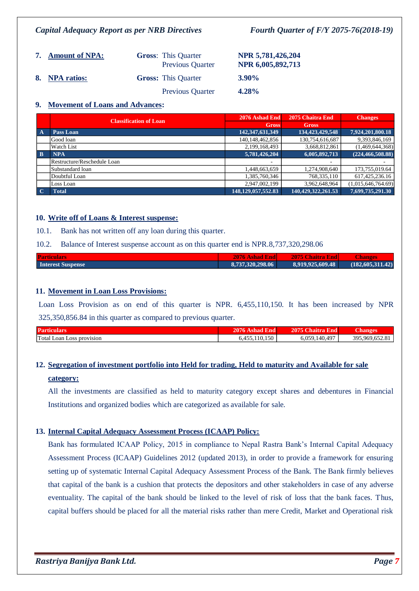| 7. Amount of NPA: | <b>Gross:</b> This Quarter<br><b>Previous Quarter</b> | NPR 5,781,426,204<br>NPR 6,005,892,713 |
|-------------------|-------------------------------------------------------|----------------------------------------|
| 8. NPA ratios:    | <b>Gross:</b> This Quarter                            | <b>3.90%</b>                           |
|                   | <b>Previous Quarter</b>                               | 4.28%                                  |

### **9. Movement of Loans and Advances:**

|              | <b>Classification of Loan</b> | 2076 Ashad End         | 2075 Chaitra End   | <b>Changes</b>      |
|--------------|-------------------------------|------------------------|--------------------|---------------------|
|              |                               | <b>Gross</b>           | <b>Gross</b>       |                     |
| $\mathbf{A}$ | Pass Loan                     | 142,347,631,349        | 134,423,429,548    | 7,924,201,800.18    |
|              | Good loan                     | 140,148,462,856        | 130,754,616,687    | 9,393,846,169       |
|              | <b>Watch List</b>             | 2,199,168,493          | 3,668,812,861      | (1,469,644,368)     |
| $\mathbf{B}$ | <b>NPA</b>                    | 5,781,426,204          | 6,005,892,713      | (224, 466, 508, 88) |
|              | Restructure/Reschedule Loan   |                        | -                  |                     |
|              | Substandard loan              | 1,448,663,659          | 1,274,908,640      | 173,755,019.64      |
|              | Doubtful Loan                 | 1,385,760,346          | 768,335,110        | 617,425,236.16      |
|              | Loss Loan                     | 2,947,002,199          | 3,962,648,964      | (1,015,646,764.69)  |
| $\mathbf C$  | <b>Total</b>                  | 148, 129, 057, 552. 83 | 140,429,322,261.53 | 7,699,735,291.30    |

### **10. Write off of Loans & Interest suspense:**

10.1. Bank has not written off any loan during this quarter.

### 10.2. Balance of Interest suspense account as on this quarter end is NPR.8,737,320,298.06

| <b>Particulars</b>       | <b>2076 Ashad Endl</b> | 2075 Chaitra End | Changes          |
|--------------------------|------------------------|------------------|------------------|
| <b>Interest Suspense</b> | 8.737.320.298.06       | 8,919,925,609.48 | (182,605,311.42) |

### **11. Movement in Loan Loss Provisions:**

Loan Loss Provision as on end of this quarter is NPR. 6,455,110,150. It has been increased by NPR 325,350,856.84 in this quarter as compared to previous quarter.

| Part.               | ---     | $\sim$<br>20<br>- - | $\sim$ |
|---------------------|---------|---------------------|--------|
| <sup>1</sup> Total. | $150 -$ | 497                 | 304    |
| Loan                | $\sim$  | $\Delta \Omega$     | 060    |
| Loss provision      | $ -$    | 050                 | ---    |

## **12. Segregation of investment portfolio into Held for trading, Held to maturity and Available for sale category:**

All the investments are classified as held to maturity category except shares and debentures in Financial Institutions and organized bodies which are categorized as available for sale.

### **13. Internal Capital Adequacy Assessment Process (ICAAP) Policy:**

Bank has formulated ICAAP Policy, 2015 in compliance to Nepal Rastra Bank's Internal Capital Adequacy Assessment Process (ICAAP) Guidelines 2012 (updated 2013), in order to provide a framework for ensuring setting up of systematic Internal Capital Adequacy Assessment Process of the Bank. The Bank firmly believes that capital of the bank is a cushion that protects the depositors and other stakeholders in case of any adverse eventuality. The capital of the bank should be linked to the level of risk of loss that the bank faces. Thus, capital buffers should be placed for all the material risks rather than mere Credit, Market and Operational risk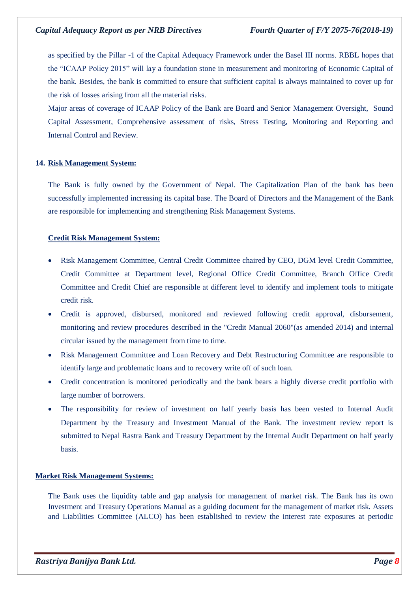as specified by the Pillar -1 of the Capital Adequacy Framework under the Basel III norms. RBBL hopes that the "ICAAP Policy 2015" will lay a foundation stone in measurement and monitoring of Economic Capital of the bank. Besides, the bank is committed to ensure that sufficient capital is always maintained to cover up for the risk of losses arising from all the material risks.

Major areas of coverage of ICAAP Policy of the Bank are Board and Senior Management Oversight, Sound Capital Assessment, Comprehensive assessment of risks, Stress Testing, Monitoring and Reporting and Internal Control and Review.

### **14. Risk Management System:**

The Bank is fully owned by the Government of Nepal. The Capitalization Plan of the bank has been successfully implemented increasing its capital base. The Board of Directors and the Management of the Bank are responsible for implementing and strengthening Risk Management Systems.

### **Credit Risk Management System:**

- Risk Management Committee, Central Credit Committee chaired by CEO, DGM level Credit Committee, Credit Committee at Department level, Regional Office Credit Committee, Branch Office Credit Committee and Credit Chief are responsible at different level to identify and implement tools to mitigate credit risk.
- Credit is approved, disbursed, monitored and reviewed following credit approval, disbursement, monitoring and review procedures described in the "Credit Manual 2060"(as amended 2014) and internal circular issued by the management from time to time.
- Risk Management Committee and Loan Recovery and Debt Restructuring Committee are responsible to identify large and problematic loans and to recovery write off of such loan.
- Credit concentration is monitored periodically and the bank bears a highly diverse credit portfolio with large number of borrowers.
- The responsibility for review of investment on half yearly basis has been vested to Internal Audit Department by the Treasury and Investment Manual of the Bank. The investment review report is submitted to Nepal Rastra Bank and Treasury Department by the Internal Audit Department on half yearly basis.

### **Market Risk Management Systems:**

The Bank uses the liquidity table and gap analysis for management of market risk. The Bank has its own Investment and Treasury Operations Manual as a guiding document for the management of market risk. Assets and Liabilities Committee (ALCO) has been established to review the interest rate exposures at periodic